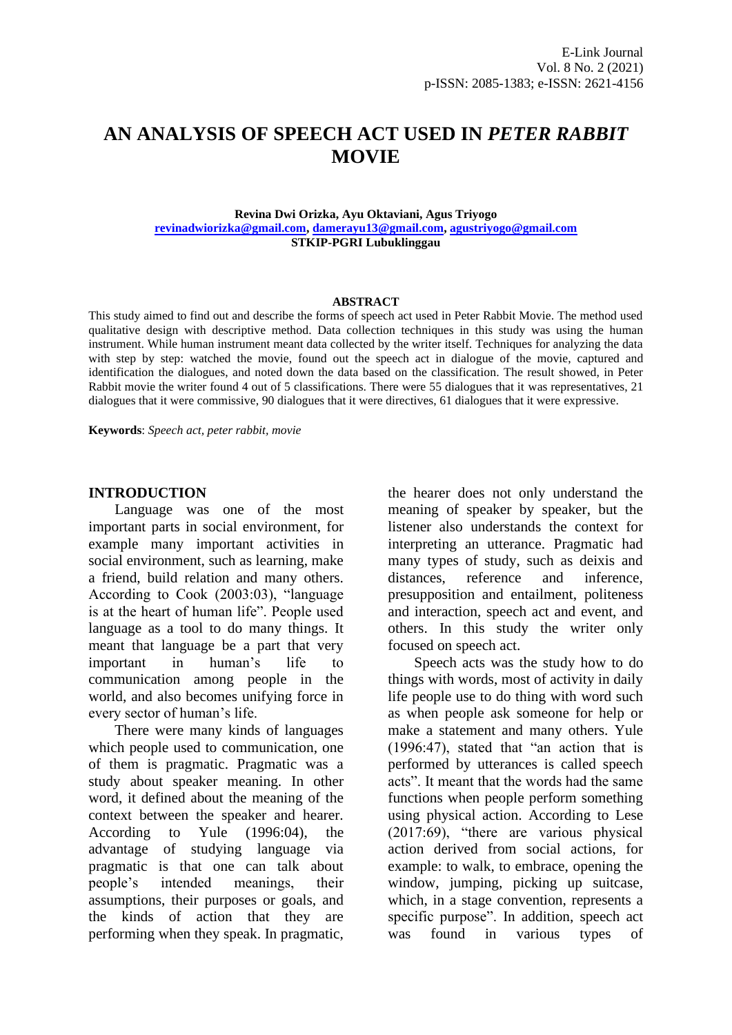# **AN ANALYSIS OF SPEECH ACT USED IN** *PETER RABBIT* **MOVIE**

#### **Revina Dwi Orizka, Ayu Oktaviani, Agus Triyogo [revinadwiorizka@gmail.com,](mailto:revinadwiorizka@gmail.com) [damerayu13@gmail.com,](mailto:damerayu13@gmail.com) [agustriyogo@gmail.com](mailto:agustriyogo@gmail.com) STKIP-PGRI Lubuklinggau**

#### **ABSTRACT**

This study aimed to find out and describe the forms of speech act used in Peter Rabbit Movie. The method used qualitative design with descriptive method. Data collection techniques in this study was using the human instrument. While human instrument meant data collected by the writer itself. Techniques for analyzing the data with step by step: watched the movie, found out the speech act in dialogue of the movie, captured and identification the dialogues, and noted down the data based on the classification. The result showed, in Peter Rabbit movie the writer found 4 out of 5 classifications. There were 55 dialogues that it was representatives, 21 dialogues that it were commissive, 90 dialogues that it were directives, 61 dialogues that it were expressive.

**Keywords**: *Speech act, peter rabbit, movie*

#### **INTRODUCTION**

Language was one of the most important parts in social environment, for example many important activities in social environment, such as learning, make a friend, build relation and many others. According to Cook (2003:03), "language is at the heart of human life". People used language as a tool to do many things. It meant that language be a part that very important in human's life to communication among people in the world, and also becomes unifying force in every sector of human's life.

There were many kinds of languages which people used to communication, one of them is pragmatic. Pragmatic was a study about speaker meaning. In other word, it defined about the meaning of the context between the speaker and hearer. According to Yule (1996:04), the advantage of studying language via pragmatic is that one can talk about people's intended meanings, their assumptions, their purposes or goals, and the kinds of action that they are performing when they speak. In pragmatic,

the hearer does not only understand the meaning of speaker by speaker, but the listener also understands the context for interpreting an utterance. Pragmatic had many types of study, such as deixis and distances, reference and inference, presupposition and entailment, politeness and interaction, speech act and event, and others. In this study the writer only focused on speech act.

Speech acts was the study how to do things with words, most of activity in daily life people use to do thing with word such as when people ask someone for help or make a statement and many others. Yule (1996:47), stated that "an action that is performed by utterances is called speech acts". It meant that the words had the same functions when people perform something using physical action. According to Lese (2017:69), "there are various physical action derived from social actions, for example: to walk, to embrace, opening the window, jumping, picking up suitcase, which, in a stage convention, represents a specific purpose". In addition, speech act was found in various types of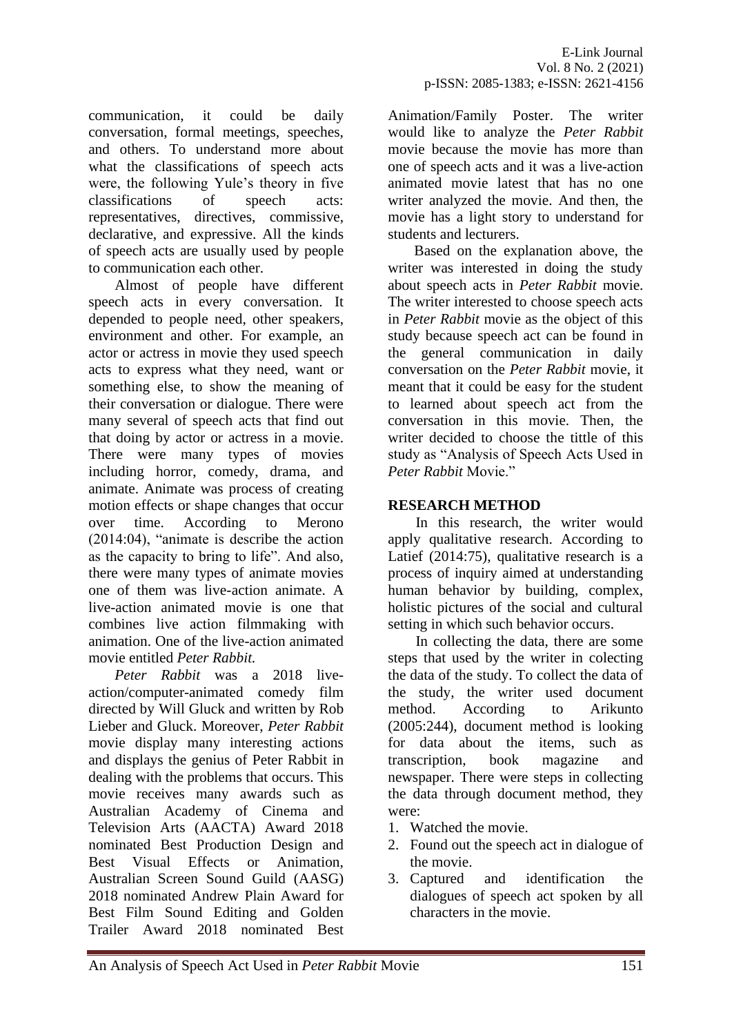communication, it could be daily conversation, formal meetings, speeches, and others. To understand more about what the classifications of speech acts were, the following Yule's theory in five classifications of speech acts: representatives, directives, commissive, declarative, and expressive. All the kinds of speech acts are usually used by people to communication each other.

Almost of people have different speech acts in every conversation. It depended to people need, other speakers, environment and other. For example, an actor or actress in movie they used speech acts to express what they need, want or something else, to show the meaning of their conversation or dialogue. There were many several of speech acts that find out that doing by actor or actress in a movie. There were many types of movies including horror, comedy, drama, and animate. Animate was process of creating motion effects or shape changes that occur over time. According to Merono (2014:04), "animate is describe the action as the capacity to bring to life". And also, there were many types of animate movies one of them was live-action animate. A live-action animated movie is one that combines live action filmmaking with animation. One of the live-action animated movie entitled *Peter Rabbit.*

*Peter Rabbit* was a 2018 liveaction/computer-animated comedy film directed by Will Gluck and written by Rob Lieber and Gluck. Moreover, *Peter Rabbit*  movie display many interesting actions and displays the genius of Peter Rabbit in dealing with the problems that occurs. This movie receives many awards such as Australian Academy of Cinema and Television Arts (AACTA) Award 2018 nominated Best Production Design and Best Visual Effects or Animation, Australian Screen Sound Guild (AASG) 2018 nominated Andrew Plain Award for Best Film Sound Editing and Golden Trailer Award 2018 nominated Best Animation/Family Poster. The writer would like to analyze the *Peter Rabbit*  movie because the movie has more than one of speech acts and it was a live-action animated movie latest that has no one writer analyzed the movie. And then, the movie has a light story to understand for students and lecturers.

Based on the explanation above, the writer was interested in doing the study about speech acts in *Peter Rabbit* movie. The writer interested to choose speech acts in *Peter Rabbit* movie as the object of this study because speech act can be found in the general communication in daily conversation on the *Peter Rabbit* movie, it meant that it could be easy for the student to learned about speech act from the conversation in this movie. Then, the writer decided to choose the tittle of this study as "Analysis of Speech Acts Used in *Peter Rabbit* Movie."

# **RESEARCH METHOD**

In this research, the writer would apply qualitative research. According to Latief (2014:75), qualitative research is a process of inquiry aimed at understanding human behavior by building, complex, holistic pictures of the social and cultural setting in which such behavior occurs.

In collecting the data, there are some steps that used by the writer in colecting the data of the study. To collect the data of the study, the writer used document method. According to Arikunto (2005:244), document method is looking for data about the items, such as transcription, book magazine and newspaper. There were steps in collecting the data through document method, they were:

- 1. Watched the movie.
- 2. Found out the speech act in dialogue of the movie.
- 3. Captured and identification the dialogues of speech act spoken by all characters in the movie.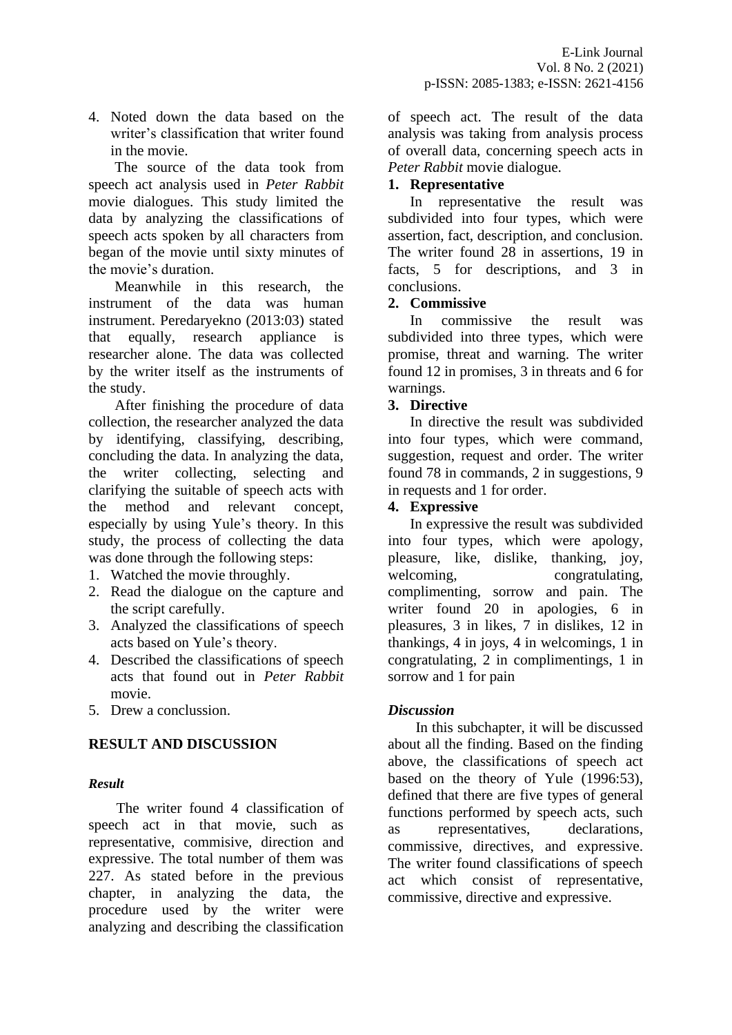4. Noted down the data based on the writer's classification that writer found in the movie.

The source of the data took from speech act analysis used in *Peter Rabbit*  movie dialogues. This study limited the data by analyzing the classifications of speech acts spoken by all characters from began of the movie until sixty minutes of the movie's duration.

Meanwhile in this research, the instrument of the data was human instrument. Peredaryekno (2013:03) stated that equally, research appliance is researcher alone. The data was collected by the writer itself as the instruments of the study.

After finishing the procedure of data collection, the researcher analyzed the data by identifying, classifying, describing, concluding the data. In analyzing the data, the writer collecting, selecting and clarifying the suitable of speech acts with the method and relevant concept, especially by using Yule's theory. In this study, the process of collecting the data was done through the following steps:

- 1. Watched the movie throughly.
- 2. Read the dialogue on the capture and the script carefully.
- 3. Analyzed the classifications of speech acts based on Yule's theory.
- 4. Described the classifications of speech acts that found out in *Peter Rabbit*  movie.
- 5. Drew a conclussion.

### **RESULT AND DISCUSSION**

### *Result*

The writer found 4 classification of speech act in that movie, such as representative, commisive, direction and expressive. The total number of them was 227. As stated before in the previous chapter, in analyzing the data, the procedure used by the writer were analyzing and describing the classification of speech act. The result of the data analysis was taking from analysis process of overall data, concerning speech acts in *Peter Rabbit* movie dialogue.

#### **1. Representative**

In representative the result was subdivided into four types, which were assertion, fact, description, and conclusion. The writer found 28 in assertions, 19 in facts, 5 for descriptions, and 3 in conclusions.

#### **2. Commissive**

In commissive the result was subdivided into three types, which were promise, threat and warning. The writer found 12 in promises, 3 in threats and 6 for warnings.

#### **3. Directive**

In directive the result was subdivided into four types, which were command, suggestion, request and order. The writer found 78 in commands, 2 in suggestions, 9 in requests and 1 for order.

#### **4. Expressive**

In expressive the result was subdivided into four types, which were apology, pleasure, like, dislike, thanking, joy, welcoming, congratulating, complimenting, sorrow and pain. The writer found 20 in apologies, 6 in pleasures, 3 in likes, 7 in dislikes, 12 in thankings, 4 in joys, 4 in welcomings, 1 in congratulating, 2 in complimentings, 1 in sorrow and 1 for pain

### *Discussion*

In this subchapter, it will be discussed about all the finding. Based on the finding above, the classifications of speech act based on the theory of Yule (1996:53), defined that there are five types of general functions performed by speech acts, such as representatives, declarations, commissive, directives, and expressive. The writer found classifications of speech act which consist of representative, commissive, directive and expressive.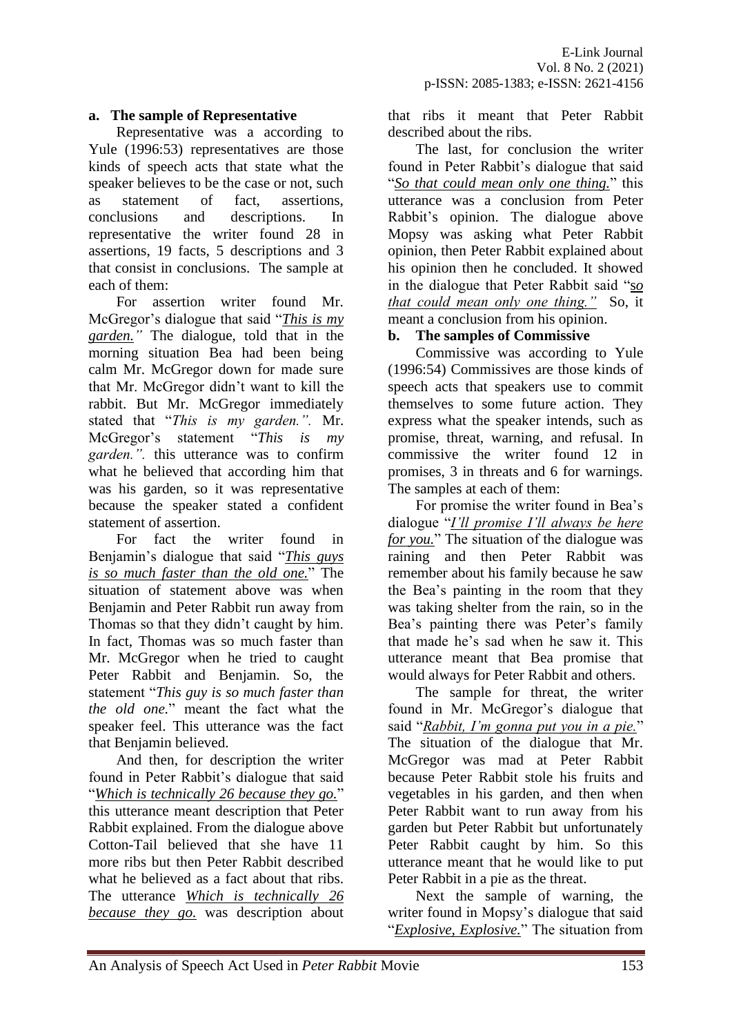#### **a. The sample of Representative**

Representative was a according to Yule (1996:53) representatives are those kinds of speech acts that state what the speaker believes to be the case or not, such as statement of fact, assertions, conclusions and descriptions. In representative the writer found 28 in assertions, 19 facts, 5 descriptions and 3 that consist in conclusions. The sample at each of them:

For assertion writer found Mr. McGregor's dialogue that said "*This is my garden."* The dialogue, told that in the morning situation Bea had been being calm Mr. McGregor down for made sure that Mr. McGregor didn't want to kill the rabbit. But Mr. McGregor immediately stated that "*This is my garden.".* Mr. McGregor's statement "*This is my garden.".* this utterance was to confirm what he believed that according him that was his garden, so it was representative because the speaker stated a confident statement of assertion.

For fact the writer found in Benjamin's dialogue that said "*This guys is so much faster than the old one.*" The situation of statement above was when Benjamin and Peter Rabbit run away from Thomas so that they didn't caught by him. In fact, Thomas was so much faster than Mr. McGregor when he tried to caught Peter Rabbit and Benjamin. So, the statement "*This guy is so much faster than the old one.*" meant the fact what the speaker feel. This utterance was the fact that Benjamin believed.

And then, for description the writer found in Peter Rabbit's dialogue that said "*Which is technically 26 because they go.*" this utterance meant description that Peter Rabbit explained. From the dialogue above Cotton-Tail believed that she have 11 more ribs but then Peter Rabbit described what he believed as a fact about that ribs. The utterance *Which is technically 26 because they go.* was description about

that ribs it meant that Peter Rabbit described about the ribs.

The last, for conclusion the writer found in Peter Rabbit's dialogue that said "*So that could mean only one thing.*" this utterance was a conclusion from Peter Rabbit's opinion. The dialogue above Mopsy was asking what Peter Rabbit opinion, then Peter Rabbit explained about his opinion then he concluded. It showed in the dialogue that Peter Rabbit said "s*o that could mean only one thing."* So, it meant a conclusion from his opinion.

#### **b. The samples of Commissive**

Commissive was according to Yule (1996:54) Commissives are those kinds of speech acts that speakers use to commit themselves to some future action. They express what the speaker intends, such as promise, threat, warning, and refusal. In commissive the writer found 12 in promises, 3 in threats and 6 for warnings. The samples at each of them:

For promise the writer found in Bea's dialogue "*I'll promise I'll always be here for you.*" The situation of the dialogue was raining and then Peter Rabbit was remember about his family because he saw the Bea's painting in the room that they was taking shelter from the rain, so in the Bea's painting there was Peter's family that made he's sad when he saw it. This utterance meant that Bea promise that would always for Peter Rabbit and others.

The sample for threat, the writer found in Mr. McGregor's dialogue that said "*Rabbit, I'm gonna put you in a pie.*" The situation of the dialogue that Mr. McGregor was mad at Peter Rabbit because Peter Rabbit stole his fruits and vegetables in his garden, and then when Peter Rabbit want to run away from his garden but Peter Rabbit but unfortunately Peter Rabbit caught by him. So this utterance meant that he would like to put Peter Rabbit in a pie as the threat.

Next the sample of warning, the writer found in Mopsy's dialogue that said "*Explosive, Explosive.*" The situation from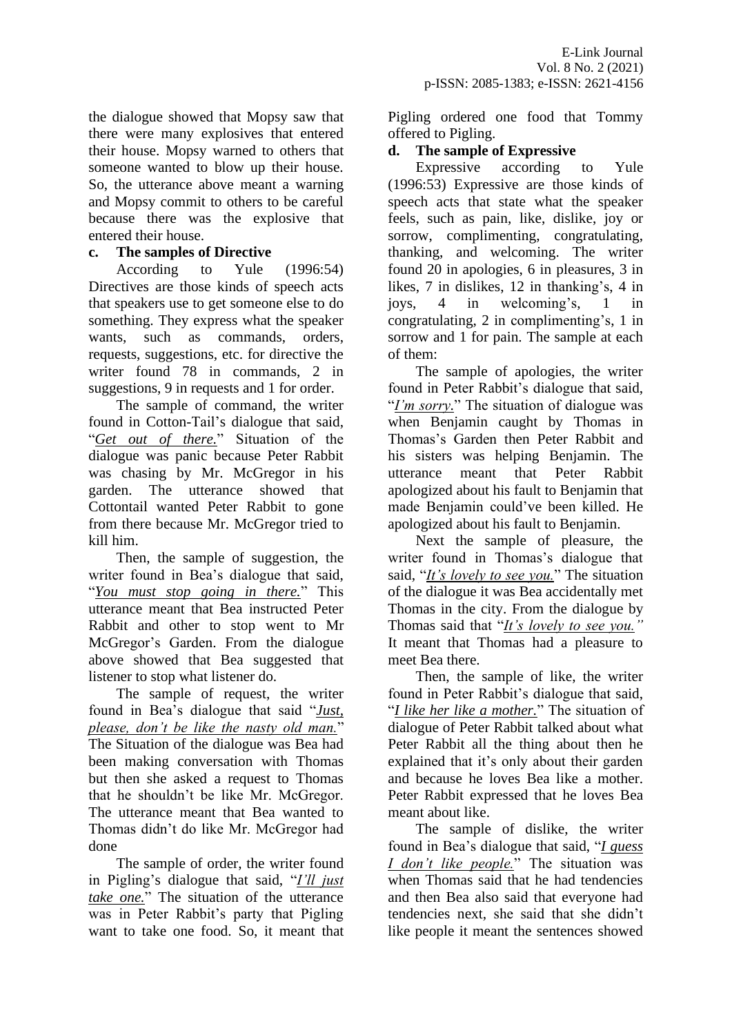the dialogue showed that Mopsy saw that there were many explosives that entered their house. Mopsy warned to others that someone wanted to blow up their house. So, the utterance above meant a warning and Mopsy commit to others to be careful because there was the explosive that entered their house.

### **c. The samples of Directive**

According to Yule (1996:54) Directives are those kinds of speech acts that speakers use to get someone else to do something. They express what the speaker wants, such as commands, orders, requests, suggestions, etc. for directive the writer found 78 in commands, 2 in suggestions, 9 in requests and 1 for order.

The sample of command, the writer found in Cotton-Tail's dialogue that said, "*Get out of there.*" Situation of the dialogue was panic because Peter Rabbit was chasing by Mr. McGregor in his garden. The utterance showed that Cottontail wanted Peter Rabbit to gone from there because Mr. McGregor tried to kill him.

Then, the sample of suggestion, the writer found in Bea's dialogue that said, "*You must stop going in there.*" This utterance meant that Bea instructed Peter Rabbit and other to stop went to Mr McGregor's Garden. From the dialogue above showed that Bea suggested that listener to stop what listener do.

The sample of request, the writer found in Bea's dialogue that said "*Just, please, don't be like the nasty old man.*" The Situation of the dialogue was Bea had been making conversation with Thomas but then she asked a request to Thomas that he shouldn't be like Mr. McGregor. The utterance meant that Bea wanted to Thomas didn't do like Mr. McGregor had done

The sample of order, the writer found in Pigling's dialogue that said, "*I'll just take one.*" The situation of the utterance was in Peter Rabbit's party that Pigling want to take one food. So, it meant that Pigling ordered one food that Tommy offered to Pigling.

### **d. The sample of Expressive**

Expressive according to Yule (1996:53) Expressive are those kinds of speech acts that state what the speaker feels, such as pain, like, dislike, joy or sorrow, complimenting, congratulating, thanking, and welcoming. The writer found 20 in apologies, 6 in pleasures, 3 in likes, 7 in dislikes, 12 in thanking's, 4 in joys, 4 in welcoming's, 1 in congratulating, 2 in complimenting's, 1 in sorrow and 1 for pain. The sample at each of them:

The sample of apologies, the writer found in Peter Rabbit's dialogue that said, "*I'm sorry*." The situation of dialogue was when Benjamin caught by Thomas in Thomas's Garden then Peter Rabbit and his sisters was helping Benjamin. The utterance meant that Peter Rabbit apologized about his fault to Benjamin that made Benjamin could've been killed. He apologized about his fault to Benjamin.

Next the sample of pleasure, the writer found in Thomas's dialogue that said, "*It's lovely to see you.*" The situation of the dialogue it was Bea accidentally met Thomas in the city. From the dialogue by Thomas said that "*It's lovely to see you."* It meant that Thomas had a pleasure to meet Bea there.

Then, the sample of like, the writer found in Peter Rabbit's dialogue that said, "*I like her like a mother.*" The situation of dialogue of Peter Rabbit talked about what Peter Rabbit all the thing about then he explained that it's only about their garden and because he loves Bea like a mother. Peter Rabbit expressed that he loves Bea meant about like.

The sample of dislike, the writer found in Bea's dialogue that said, "*I guess I don't like people.*" The situation was when Thomas said that he had tendencies and then Bea also said that everyone had tendencies next, she said that she didn't like people it meant the sentences showed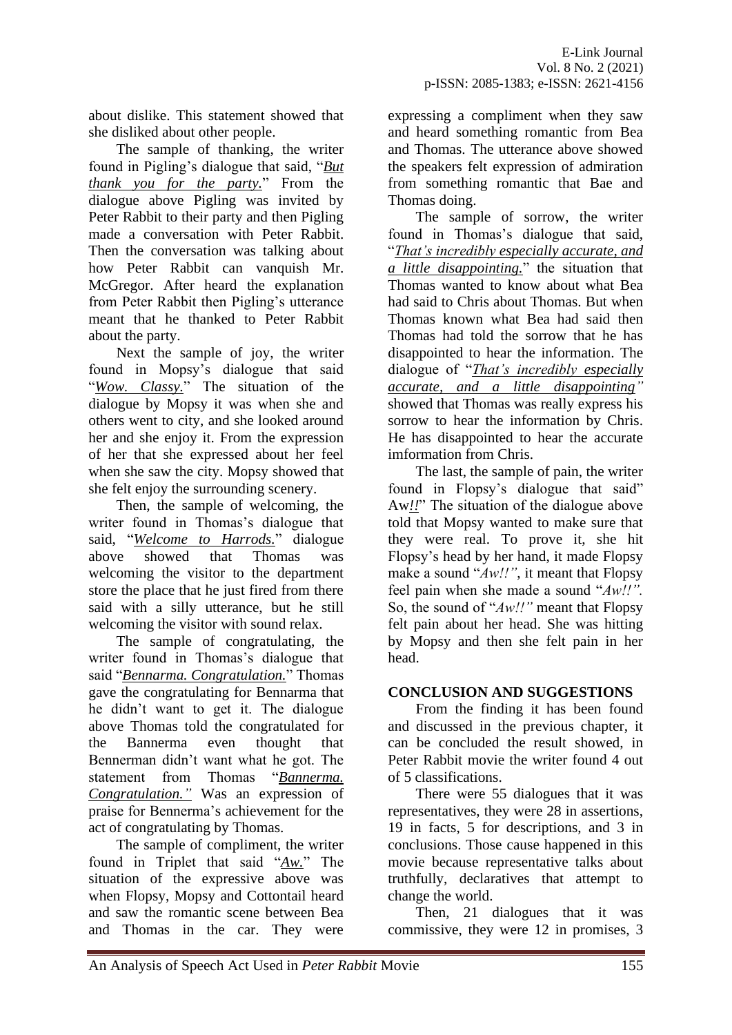about dislike. This statement showed that she disliked about other people.

The sample of thanking, the writer found in Pigling's dialogue that said, "*But thank you for the party.*" From the dialogue above Pigling was invited by Peter Rabbit to their party and then Pigling made a conversation with Peter Rabbit. Then the conversation was talking about how Peter Rabbit can vanquish Mr. McGregor. After heard the explanation from Peter Rabbit then Pigling's utterance meant that he thanked to Peter Rabbit about the party.

Next the sample of joy, the writer found in Mopsy's dialogue that said "*Wow. Classy.*" The situation of the dialogue by Mopsy it was when she and others went to city, and she looked around her and she enjoy it. From the expression of her that she expressed about her feel when she saw the city. Mopsy showed that she felt enjoy the surrounding scenery.

Then, the sample of welcoming, the writer found in Thomas's dialogue that said, "*Welcome to Harrods.*" dialogue above showed that Thomas was welcoming the visitor to the department store the place that he just fired from there said with a silly utterance, but he still welcoming the visitor with sound relax.

The sample of congratulating, the writer found in Thomas's dialogue that said "*Bennarma. Congratulation.*" Thomas gave the congratulating for Bennarma that he didn't want to get it. The dialogue above Thomas told the congratulated for the Bannerma even thought that Bennerman didn't want what he got. The statement from Thomas "*Bannerma. Congratulation."* Was an expression of praise for Bennerma's achievement for the act of congratulating by Thomas.

The sample of compliment, the writer found in Triplet that said "*Aw.*" The situation of the expressive above was when Flopsy, Mopsy and Cottontail heard and saw the romantic scene between Bea and Thomas in the car. They were expressing a compliment when they saw and heard something romantic from Bea and Thomas. The utterance above showed the speakers felt expression of admiration from something romantic that Bae and Thomas doing.

The sample of sorrow, the writer found in Thomas's dialogue that said, "*That's incredibly especially accurate, and a little disappointing.*" the situation that Thomas wanted to know about what Bea had said to Chris about Thomas. But when Thomas known what Bea had said then Thomas had told the sorrow that he has disappointed to hear the information. The dialogue of "*That's incredibly especially accurate, and a little disappointing"*  showed that Thomas was really express his sorrow to hear the information by Chris. He has disappointed to hear the accurate imformation from Chris.

The last, the sample of pain, the writer found in Flopsy's dialogue that said" Aw*!!*" The situation of the dialogue above told that Mopsy wanted to make sure that they were real. To prove it, she hit Flopsy's head by her hand, it made Flopsy make a sound "*Aw!!"*, it meant that Flopsy feel pain when she made a sound "*Aw!!".*  So, the sound of "*Aw!!"* meant that Flopsy felt pain about her head. She was hitting by Mopsy and then she felt pain in her head.

# **CONCLUSION AND SUGGESTIONS**

From the finding it has been found and discussed in the previous chapter, it can be concluded the result showed, in Peter Rabbit movie the writer found 4 out of 5 classifications.

There were 55 dialogues that it was representatives, they were 28 in assertions, 19 in facts, 5 for descriptions, and 3 in conclusions. Those cause happened in this movie because representative talks about truthfully, declaratives that attempt to change the world.

Then, 21 dialogues that it was commissive, they were 12 in promises, 3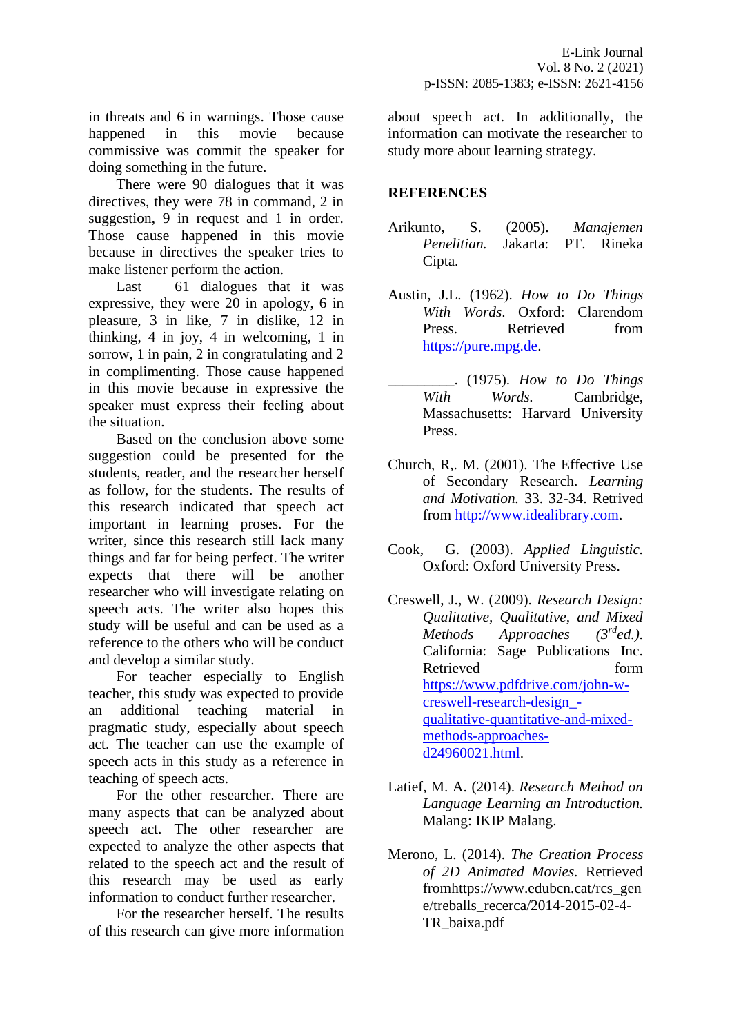in threats and 6 in warnings. Those cause happened in this movie because commissive was commit the speaker for doing something in the future.

There were 90 dialogues that it was directives, they were 78 in command, 2 in suggestion, 9 in request and 1 in order. Those cause happened in this movie because in directives the speaker tries to make listener perform the action.

Last 61 dialogues that it was expressive, they were 20 in apology, 6 in pleasure, 3 in like, 7 in dislike, 12 in thinking, 4 in joy, 4 in welcoming, 1 in sorrow, 1 in pain, 2 in congratulating and 2 in complimenting. Those cause happened in this movie because in expressive the speaker must express their feeling about the situation.

Based on the conclusion above some suggestion could be presented for the students, reader, and the researcher herself as follow, for the students. The results of this research indicated that speech act important in learning proses. For the writer, since this research still lack many things and far for being perfect. The writer expects that there will be another researcher who will investigate relating on speech acts. The writer also hopes this study will be useful and can be used as a reference to the others who will be conduct and develop a similar study.

For teacher especially to English teacher, this study was expected to provide an additional teaching material in pragmatic study, especially about speech act. The teacher can use the example of speech acts in this study as a reference in teaching of speech acts.

For the other researcher. There are many aspects that can be analyzed about speech act. The other researcher are expected to analyze the other aspects that related to the speech act and the result of this research may be used as early information to conduct further researcher.

For the researcher herself. The results of this research can give more information

about speech act. In additionally, the information can motivate the researcher to study more about learning strategy.

# **REFERENCES**

- Arikunto, S. (2005). *Manajemen Penelitian.* Jakarta: PT. Rineka Cipta.
- Austin, J.L. (1962). *How to Do Things With Words*. Oxford: Clarendom Press. Retrieved from [https://pure.mpg.de.](https://pure.mpg.de/)
- \_\_\_\_\_\_\_\_\_. (1975). *How to Do Things With Words.* Cambridge, Massachusetts: Harvard University Press.
- Church, R,. M. (2001). The Effective Use of Secondary Research. *Learning and Motivation.* 33. 32-34. Retrived from [http://www.idealibrary.com.](http://www.idealibrary.com/)
- Cook, G. (2003). *Applied Linguistic.*  Oxford: Oxford University Press.
- Creswell, J., W. (2009). *Research Design: Qualitative, Qualitative, and Mixed Methods Approaches (3rded.).*  California: Sage Publications Inc. Retrieved form [https://www.pdfdrive.com/john-w](https://www.pdfdrive.com/john-w-creswell-research-design_-qualitative-quantitative-and-mixed-methods-approaches-d24960021.html)[creswell-research-design\\_](https://www.pdfdrive.com/john-w-creswell-research-design_-qualitative-quantitative-and-mixed-methods-approaches-d24960021.html) [qualitative-quantitative-and-mixed](https://www.pdfdrive.com/john-w-creswell-research-design_-qualitative-quantitative-and-mixed-methods-approaches-d24960021.html)[methods-approaches](https://www.pdfdrive.com/john-w-creswell-research-design_-qualitative-quantitative-and-mixed-methods-approaches-d24960021.html)[d24960021.html.](https://www.pdfdrive.com/john-w-creswell-research-design_-qualitative-quantitative-and-mixed-methods-approaches-d24960021.html)
- Latief, M. A. (2014). *Research Method on Language Learning an Introduction.*  Malang: IKIP Malang.
- Merono, L. (2014). *The Creation Process of 2D Animated Movies.* Retrieved fromhttps://www.edubcn.cat/rcs\_gen e/treballs\_recerca/2014-2015-02-4- TR\_baixa.pdf